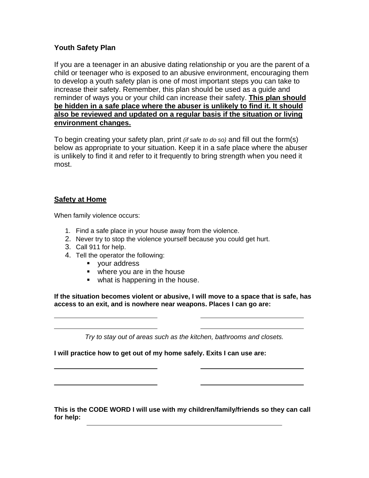# **Youth Safety Plan**

If you are a teenager in an abusive dating relationship or you are the parent of a child or teenager who is exposed to an abusive environment, encouraging them to develop a youth safety plan is one of most important steps you can take to increase their safety. Remember, this plan should be used as a guide and reminder of ways you or your child can increase their safety. **This plan should be hidden in a safe place where the abuser is unlikely to find it. It should also be reviewed and updated on a regular basis if the situation or living environment changes.**

To begin creating your safety plan, print *(if safe to do so)* and fill out the form(s) below as appropriate to your situation. Keep it in a safe place where the abuser is unlikely to find it and refer to it frequently to bring strength when you need it most.

#### **Safety at Home**

Ï

When family violence occurs:

- 1. Find a safe place in your house away from the violence.
- 2. Never try to stop the violence yourself because you could get hurt.
- 3. Call 911 for help.
- 4. Tell the operator the following:
	- vour address
	- where you are in the house
	- what is happening in the house.

**If the situation becomes violent or abusive, I will move to a space that is safe, has access to an exit, and is nowhere near weapons. Places I can go are:** 

*Try to stay out of areas such as the kitchen, bathrooms and closets.* 

**I will practice how to get out of my home safely. Exits I can use are:** 

**This is the CODE WORD I will use with my children/family/friends so they can call for help:**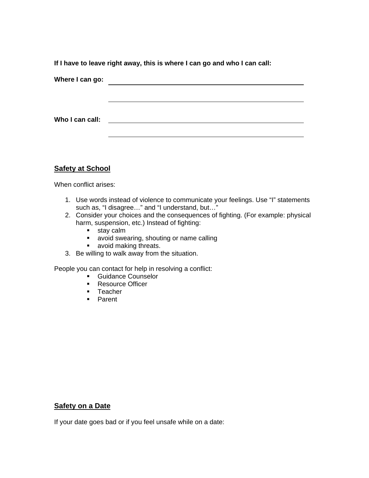**If I have to leave right away, this is where I can go and who I can call:** 

| Where I can go: |  |
|-----------------|--|
|                 |  |
|                 |  |
| Who I can call: |  |
|                 |  |

# **Safety at School**

When conflict arises:

- 1. Use words instead of violence to communicate your feelings. Use "I" statements such as, "I disagree…" and "I understand, but…"
- 2. Consider your choices and the consequences of fighting. (For example: physical harm, suspension, etc.) Instead of fighting:
	- **stay calm**
	- avoid swearing, shouting or name calling
	- **a** avoid making threats.
- 3. Be willing to walk away from the situation.

People you can contact for help in resolving a conflict:

- **Guidance Counselor** 
	- **Resource Officer**
	- **Teacher**
	- **Parent**

# **Safety on a Date**

If your date goes bad or if you feel unsafe while on a date: